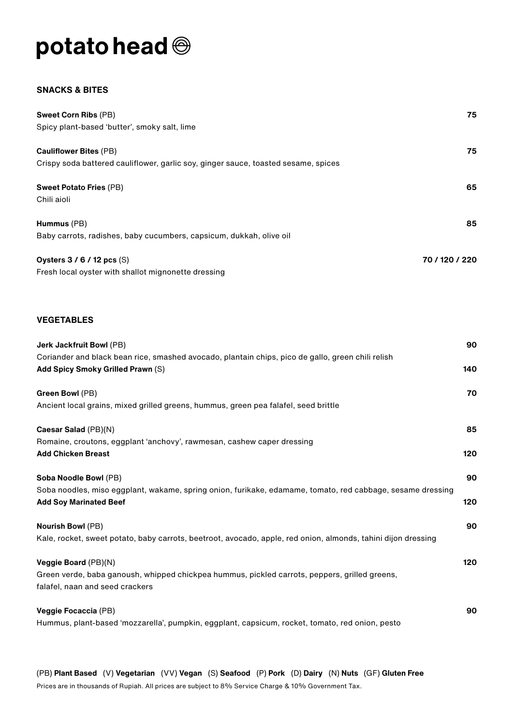# potato head  $\circledcirc$

#### **SNACKS & BITES**

| <b>Sweet Corn Ribs (PB)</b>                                                        | 75.            |
|------------------------------------------------------------------------------------|----------------|
| Spicy plant-based 'butter', smoky salt, lime                                       |                |
|                                                                                    |                |
| <b>Cauliflower Bites (PB)</b>                                                      | 75             |
| Crispy soda battered cauliflower, garlic soy, ginger sauce, toasted sesame, spices |                |
| <b>Sweet Potato Fries (PB)</b>                                                     | 65             |
| Chili aioli                                                                        |                |
| Hummus (PB)                                                                        | 85             |
| Baby carrots, radishes, baby cucumbers, capsicum, dukkah, olive oil                |                |
| Oysters $3/6/12$ pcs (S)                                                           | 70 / 120 / 220 |
| Fresh local oyster with shallot mignonette dressing                                |                |

### **VEGETABLES**

| Jerk Jackfruit Bowl (PB)                                                                                      | 90  |
|---------------------------------------------------------------------------------------------------------------|-----|
| Coriander and black bean rice, smashed avocado, plantain chips, pico de gallo, green chili relish             |     |
| <b>Add Spicy Smoky Grilled Prawn (S)</b>                                                                      | 140 |
| Green Bowl (PB)                                                                                               | 70  |
| Ancient local grains, mixed grilled greens, hummus, green pea falafel, seed brittle                           |     |
| Caesar Salad (PB)(N)                                                                                          | 85  |
| Romaine, croutons, eggplant 'anchovy', rawmesan, cashew caper dressing                                        |     |
| <b>Add Chicken Breast</b>                                                                                     | 120 |
| Soba Noodle Bowl (PB)                                                                                         | 90  |
| Soba noodles, miso eggplant, wakame, spring onion, furikake, edamame, tomato, red cabbage, sesame dressing    |     |
| <b>Add Soy Marinated Beef</b>                                                                                 | 120 |
| <b>Nourish Bowl (PB)</b>                                                                                      | 90  |
| Kale, rocket, sweet potato, baby carrots, beetroot, avocado, apple, red onion, almonds, tahini dijon dressing |     |
| Veggie Board (PB)(N)                                                                                          | 120 |
| Green verde, baba ganoush, whipped chickpea hummus, pickled carrots, peppers, grilled greens,                 |     |
| falafel, naan and seed crackers                                                                               |     |
| Veggie Focaccia (PB)                                                                                          | 90  |
| Hummus, plant-based 'mozzarella', pumpkin, eggplant, capsicum, rocket, tomato, red onion, pesto               |     |
|                                                                                                               |     |

(PB) **Plant Based** (V) **Vegetarian** (VV) **Vegan** (S) **Seafood** (P) **Pork** (D) **Dairy** (N) **Nuts** (GF) **Gluten Free** Prices are in thousands of Rupiah. All prices are subject to 8% Service Charge & 10% Government Tax.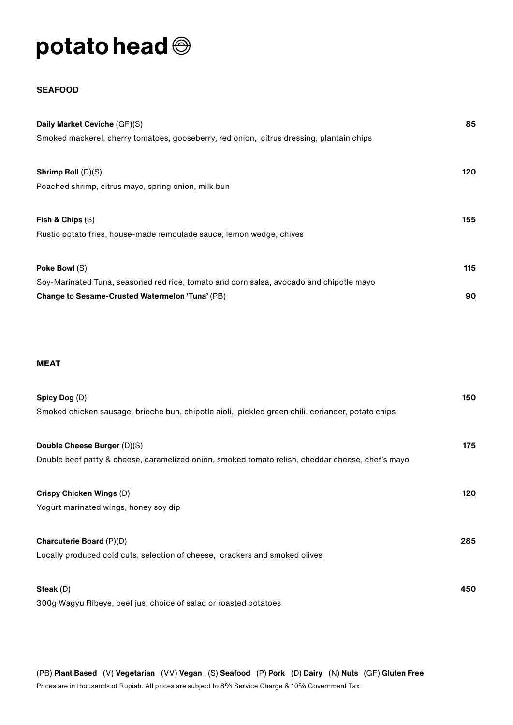## potato head  $\circledcirc$

### **SEAFOOD**

| Daily Market Ceviche (GF)(S)                                                             | 85  |
|------------------------------------------------------------------------------------------|-----|
| Smoked mackerel, cherry tomatoes, gooseberry, red onion, citrus dressing, plantain chips |     |
|                                                                                          |     |
| Shrimp Roll $(D)(S)$                                                                     | 120 |
| Poached shrimp, citrus mayo, spring onion, milk bun                                      |     |
|                                                                                          |     |
| Fish & Chips $(S)$                                                                       | 155 |
| Rustic potato fries, house-made remoulade sauce, lemon wedge, chives                     |     |
|                                                                                          |     |
| Poke Bowl (S)                                                                            | 115 |
| Soy-Marinated Tuna, seasoned red rice, tomato and corn salsa, avocado and chipotle mayo  |     |
| Change to Sesame-Crusted Watermelon 'Tuna' (PB)                                          | 90  |

### **MEAT**

| Spicy Dog $(D)$                                                                                   | 150 |
|---------------------------------------------------------------------------------------------------|-----|
| Smoked chicken sausage, brioche bun, chipotle aioli, pickled green chili, coriander, potato chips |     |
|                                                                                                   |     |
| Double Cheese Burger (D)(S)                                                                       | 175 |
| Double beef patty & cheese, caramelized onion, smoked tomato relish, cheddar cheese, chef's mayo  |     |
| Crispy Chicken Wings (D)                                                                          | 120 |
| Yogurt marinated wings, honey soy dip                                                             |     |
| <b>Charcuterie Board (P)(D)</b>                                                                   | 285 |
| Locally produced cold cuts, selection of cheese, crackers and smoked olives                       |     |
| Steak $(D)$                                                                                       | 450 |
| 300g Wagyu Ribeye, beef jus, choice of salad or roasted potatoes                                  |     |